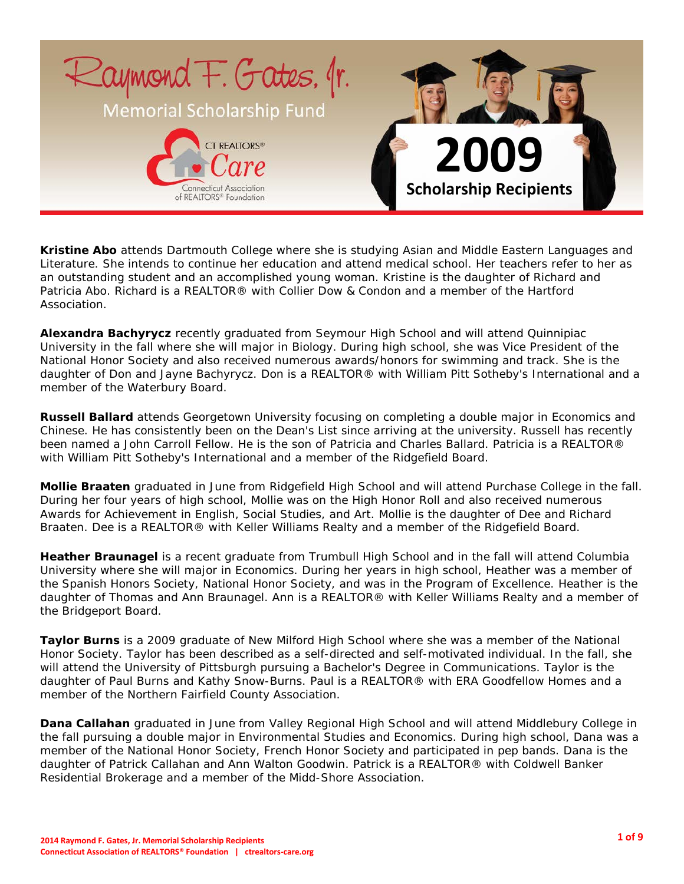

**Kristine Abo** attends Dartmouth College where she is studying Asian and Middle Eastern Languages and Literature. She intends to continue her education and attend medical school. Her teachers refer to her as an outstanding student and an accomplished young woman. Kristine is the daughter of Richard and Patricia Abo. Richard is a REALTOR® with Collier Dow & Condon and a member of the Hartford Association.

**Alexandra Bachyrycz** recently graduated from Seymour High School and will attend Quinnipiac University in the fall where she will major in Biology. During high school, she was Vice President of the National Honor Society and also received numerous awards/honors for swimming and track. She is the daughter of Don and Jayne Bachyrycz. Don is a REALTOR® with William Pitt Sotheby's International and a member of the Waterbury Board.

**Russell Ballard** attends Georgetown University focusing on completing a double major in Economics and Chinese. He has consistently been on the Dean's List since arriving at the university. Russell has recently been named a John Carroll Fellow. He is the son of Patricia and Charles Ballard. Patricia is a REALTOR® with William Pitt Sotheby's International and a member of the Ridgefield Board.

**Mollie Braaten** graduated in June from Ridgefield High School and will attend Purchase College in the fall. During her four years of high school, Mollie was on the High Honor Roll and also received numerous Awards for Achievement in English, Social Studies, and Art. Mollie is the daughter of Dee and Richard Braaten. Dee is a REALTOR® with Keller Williams Realty and a member of the Ridgefield Board.

**Heather Braunagel** is a recent graduate from Trumbull High School and in the fall will attend Columbia University where she will major in Economics. During her years in high school, Heather was a member of the Spanish Honors Society, National Honor Society, and was in the Program of Excellence. Heather is the daughter of Thomas and Ann Braunagel. Ann is a REALTOR® with Keller Williams Realty and a member of the Bridgeport Board.

**Taylor Burns** is a 2009 graduate of New Milford High School where she was a member of the National Honor Society. Taylor has been described as a self-directed and self-motivated individual. In the fall, she will attend the University of Pittsburgh pursuing a Bachelor's Degree in Communications. Taylor is the daughter of Paul Burns and Kathy Snow-Burns. Paul is a REALTOR® with ERA Goodfellow Homes and a member of the Northern Fairfield County Association.

**Dana Callahan** graduated in June from Valley Regional High School and will attend Middlebury College in the fall pursuing a double major in Environmental Studies and Economics. During high school, Dana was a member of the National Honor Society, French Honor Society and participated in pep bands. Dana is the daughter of Patrick Callahan and Ann Walton Goodwin. Patrick is a REALTOR® with Coldwell Banker Residential Brokerage and a member of the Midd-Shore Association.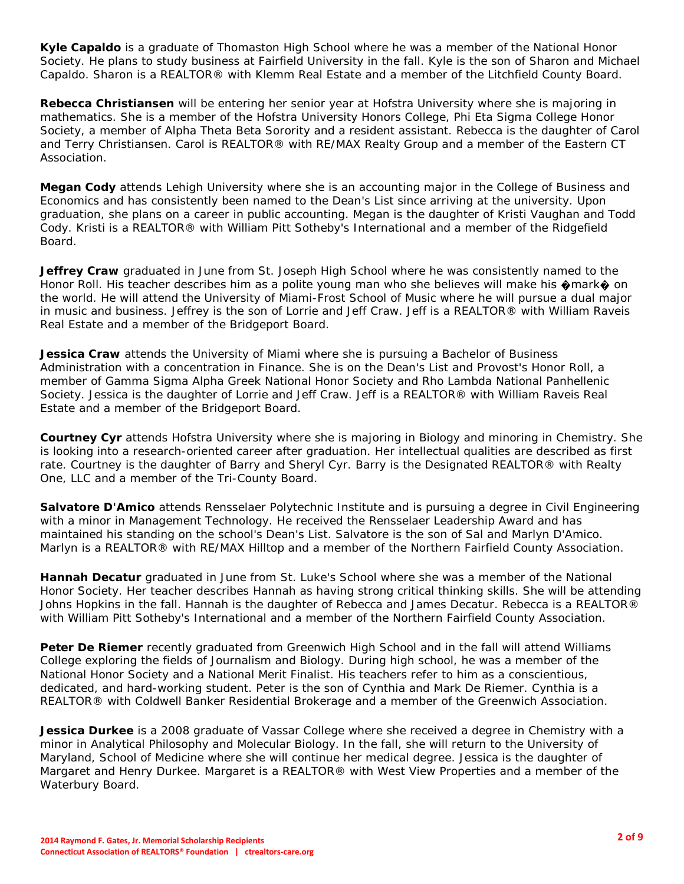**Kyle Capaldo** is a graduate of Thomaston High School where he was a member of the National Honor Society. He plans to study business at Fairfield University in the fall. Kyle is the son of Sharon and Michael Capaldo. Sharon is a REALTOR® with Klemm Real Estate and a member of the Litchfield County Board.

**Rebecca Christiansen** will be entering her senior year at Hofstra University where she is majoring in mathematics. She is a member of the Hofstra University Honors College, Phi Eta Sigma College Honor Society, a member of Alpha Theta Beta Sorority and a resident assistant. Rebecca is the daughter of Carol and Terry Christiansen. Carol is REALTOR® with RE/MAX Realty Group and a member of the Eastern CT Association.

**Megan Cody** attends Lehigh University where she is an accounting major in the College of Business and Economics and has consistently been named to the Dean's List since arriving at the university. Upon graduation, she plans on a career in public accounting. Megan is the daughter of Kristi Vaughan and Todd Cody. Kristi is a REALTOR® with William Pitt Sotheby's International and a member of the Ridgefield Board.

**Jeffrey Craw** graduated in June from St. Joseph High School where he was consistently named to the Honor Roll. His teacher describes him as a polite young man who she believes will make his �mark� on the world. He will attend the University of Miami-Frost School of Music where he will pursue a dual major in music and business. Jeffrey is the son of Lorrie and Jeff Craw. Jeff is a REALTOR® with William Raveis Real Estate and a member of the Bridgeport Board.

**Jessica Craw** attends the University of Miami where she is pursuing a Bachelor of Business Administration with a concentration in Finance. She is on the Dean's List and Provost's Honor Roll, a member of Gamma Sigma Alpha Greek National Honor Society and Rho Lambda National Panhellenic Society. Jessica is the daughter of Lorrie and Jeff Craw. Jeff is a REALTOR® with William Raveis Real Estate and a member of the Bridgeport Board.

**Courtney Cyr** attends Hofstra University where she is majoring in Biology and minoring in Chemistry. She is looking into a research-oriented career after graduation. Her intellectual qualities are described as first rate. Courtney is the daughter of Barry and Sheryl Cyr. Barry is the Designated REALTOR® with Realty One, LLC and a member of the Tri-County Board.

**Salvatore D'Amico** attends Rensselaer Polytechnic Institute and is pursuing a degree in Civil Engineering with a minor in Management Technology. He received the Rensselaer Leadership Award and has maintained his standing on the school's Dean's List. Salvatore is the son of Sal and Marlyn D'Amico. Marlyn is a REALTOR® with RE/MAX Hilltop and a member of the Northern Fairfield County Association.

**Hannah Decatur** graduated in June from St. Luke's School where she was a member of the National Honor Society. Her teacher describes Hannah as having strong critical thinking skills. She will be attending Johns Hopkins in the fall. Hannah is the daughter of Rebecca and James Decatur. Rebecca is a REALTOR® with William Pitt Sotheby's International and a member of the Northern Fairfield County Association.

**Peter De Riemer** recently graduated from Greenwich High School and in the fall will attend Williams College exploring the fields of Journalism and Biology. During high school, he was a member of the National Honor Society and a National Merit Finalist. His teachers refer to him as a conscientious, dedicated, and hard-working student. Peter is the son of Cynthia and Mark De Riemer. Cynthia is a REALTOR® with Coldwell Banker Residential Brokerage and a member of the Greenwich Association.

**Jessica Durkee** is a 2008 graduate of Vassar College where she received a degree in Chemistry with a minor in Analytical Philosophy and Molecular Biology. In the fall, she will return to the University of Maryland, School of Medicine where she will continue her medical degree. Jessica is the daughter of Margaret and Henry Durkee. Margaret is a REALTOR® with West View Properties and a member of the Waterbury Board.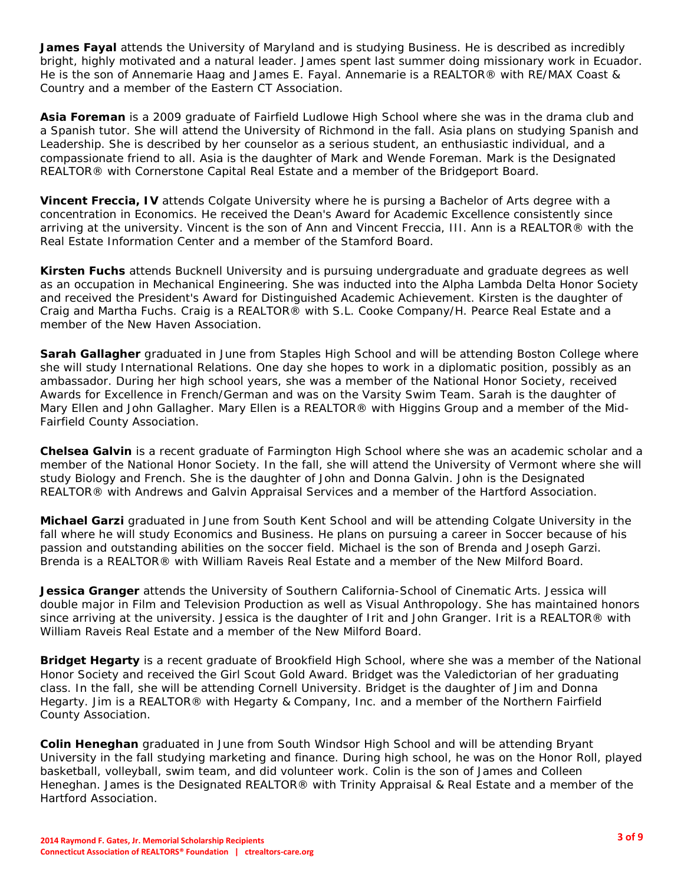**James Fayal** attends the University of Maryland and is studying Business. He is described as incredibly bright, highly motivated and a natural leader. James spent last summer doing missionary work in Ecuador. He is the son of Annemarie Haag and James E. Fayal. Annemarie is a REALTOR® with RE/MAX Coast & Country and a member of the Eastern CT Association.

**Asia Foreman** is a 2009 graduate of Fairfield Ludlowe High School where she was in the drama club and a Spanish tutor. She will attend the University of Richmond in the fall. Asia plans on studying Spanish and Leadership. She is described by her counselor as a serious student, an enthusiastic individual, and a compassionate friend to all. Asia is the daughter of Mark and Wende Foreman. Mark is the Designated REALTOR® with Cornerstone Capital Real Estate and a member of the Bridgeport Board.

**Vincent Freccia, IV** attends Colgate University where he is pursing a Bachelor of Arts degree with a concentration in Economics. He received the Dean's Award for Academic Excellence consistently since arriving at the university. Vincent is the son of Ann and Vincent Freccia, III. Ann is a REALTOR® with the Real Estate Information Center and a member of the Stamford Board.

**Kirsten Fuchs** attends Bucknell University and is pursuing undergraduate and graduate degrees as well as an occupation in Mechanical Engineering. She was inducted into the Alpha Lambda Delta Honor Society and received the President's Award for Distinguished Academic Achievement. Kirsten is the daughter of Craig and Martha Fuchs. Craig is a REALTOR® with S.L. Cooke Company/H. Pearce Real Estate and a member of the New Haven Association.

**Sarah Gallagher** graduated in June from Staples High School and will be attending Boston College where she will study International Relations. One day she hopes to work in a diplomatic position, possibly as an ambassador. During her high school years, she was a member of the National Honor Society, received Awards for Excellence in French/German and was on the Varsity Swim Team. Sarah is the daughter of Mary Ellen and John Gallagher. Mary Ellen is a REALTOR® with Higgins Group and a member of the Mid-Fairfield County Association.

**Chelsea Galvin** is a recent graduate of Farmington High School where she was an academic scholar and a member of the National Honor Society. In the fall, she will attend the University of Vermont where she will study Biology and French. She is the daughter of John and Donna Galvin. John is the Designated REALTOR® with Andrews and Galvin Appraisal Services and a member of the Hartford Association.

**Michael Garzi** graduated in June from South Kent School and will be attending Colgate University in the fall where he will study Economics and Business. He plans on pursuing a career in Soccer because of his passion and outstanding abilities on the soccer field. Michael is the son of Brenda and Joseph Garzi. Brenda is a REALTOR® with William Raveis Real Estate and a member of the New Milford Board.

**Jessica Granger** attends the University of Southern California-School of Cinematic Arts. Jessica will double major in Film and Television Production as well as Visual Anthropology. She has maintained honors since arriving at the university. Jessica is the daughter of Irit and John Granger. Irit is a REALTOR® with William Raveis Real Estate and a member of the New Milford Board.

**Bridget Hegarty** is a recent graduate of Brookfield High School, where she was a member of the National Honor Society and received the Girl Scout Gold Award. Bridget was the Valedictorian of her graduating class. In the fall, she will be attending Cornell University. Bridget is the daughter of Jim and Donna Hegarty. Jim is a REALTOR® with Hegarty & Company, Inc. and a member of the Northern Fairfield County Association.

**Colin Heneghan** graduated in June from South Windsor High School and will be attending Bryant University in the fall studying marketing and finance. During high school, he was on the Honor Roll, played basketball, volleyball, swim team, and did volunteer work. Colin is the son of James and Colleen Heneghan. James is the Designated REALTOR® with Trinity Appraisal & Real Estate and a member of the Hartford Association.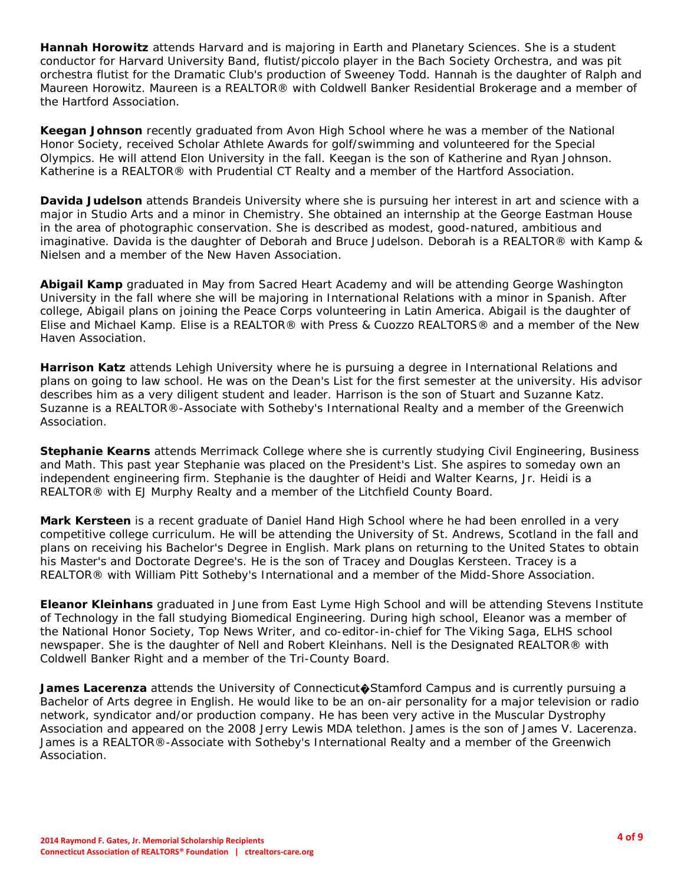**Hannah Horowitz** attends Harvard and is majoring in Earth and Planetary Sciences. She is a student conductor for Harvard University Band, flutist/piccolo player in the Bach Society Orchestra, and was pit orchestra flutist for the Dramatic Club's production of Sweeney Todd. Hannah is the daughter of Ralph and Maureen Horowitz. Maureen is a REALTOR® with Coldwell Banker Residential Brokerage and a member of the Hartford Association.

**Keegan Johnson** recently graduated from Avon High School where he was a member of the National Honor Society, received Scholar Athlete Awards for golf/swimming and volunteered for the Special Olympics. He will attend Elon University in the fall. Keegan is the son of Katherine and Ryan Johnson. Katherine is a REALTOR® with Prudential CT Realty and a member of the Hartford Association.

**Davida Judelson** attends Brandeis University where she is pursuing her interest in art and science with a major in Studio Arts and a minor in Chemistry. She obtained an internship at the George Eastman House in the area of photographic conservation. She is described as modest, good-natured, ambitious and imaginative. Davida is the daughter of Deborah and Bruce Judelson. Deborah is a REALTOR® with Kamp & Nielsen and a member of the New Haven Association.

**Abigail Kamp** graduated in May from Sacred Heart Academy and will be attending George Washington University in the fall where she will be majoring in International Relations with a minor in Spanish. After college, Abigail plans on joining the Peace Corps volunteering in Latin America. Abigail is the daughter of Elise and Michael Kamp. Elise is a REALTOR® with Press & Cuozzo REALTORS® and a member of the New Haven Association.

**Harrison Katz** attends Lehigh University where he is pursuing a degree in International Relations and plans on going to law school. He was on the Dean's List for the first semester at the university. His advisor describes him as a very diligent student and leader. Harrison is the son of Stuart and Suzanne Katz. Suzanne is a REALTOR®-Associate with Sotheby's International Realty and a member of the Greenwich Association.

**Stephanie Kearns** attends Merrimack College where she is currently studying Civil Engineering, Business and Math. This past year Stephanie was placed on the President's List. She aspires to someday own an independent engineering firm. Stephanie is the daughter of Heidi and Walter Kearns, Jr. Heidi is a REALTOR® with EJ Murphy Realty and a member of the Litchfield County Board.

**Mark Kersteen** is a recent graduate of Daniel Hand High School where he had been enrolled in a very competitive college curriculum. He will be attending the University of St. Andrews, Scotland in the fall and plans on receiving his Bachelor's Degree in English. Mark plans on returning to the United States to obtain his Master's and Doctorate Degree's. He is the son of Tracey and Douglas Kersteen. Tracey is a REALTOR® with William Pitt Sotheby's International and a member of the Midd-Shore Association.

**Eleanor Kleinhans** graduated in June from East Lyme High School and will be attending Stevens Institute of Technology in the fall studying Biomedical Engineering. During high school, Eleanor was a member of the National Honor Society, Top News Writer, and co-editor-in-chief for The Viking Saga, ELHS school newspaper. She is the daughter of Nell and Robert Kleinhans. Nell is the Designated REALTOR® with Coldwell Banker Right and a member of the Tri-County Board.

**James Lacerenza** attends the University of Connecticut�Stamford Campus and is currently pursuing a Bachelor of Arts degree in English. He would like to be an on-air personality for a major television or radio network, syndicator and/or production company. He has been very active in the Muscular Dystrophy Association and appeared on the 2008 Jerry Lewis MDA telethon. James is the son of James V. Lacerenza. James is a REALTOR®-Associate with Sotheby's International Realty and a member of the Greenwich Association.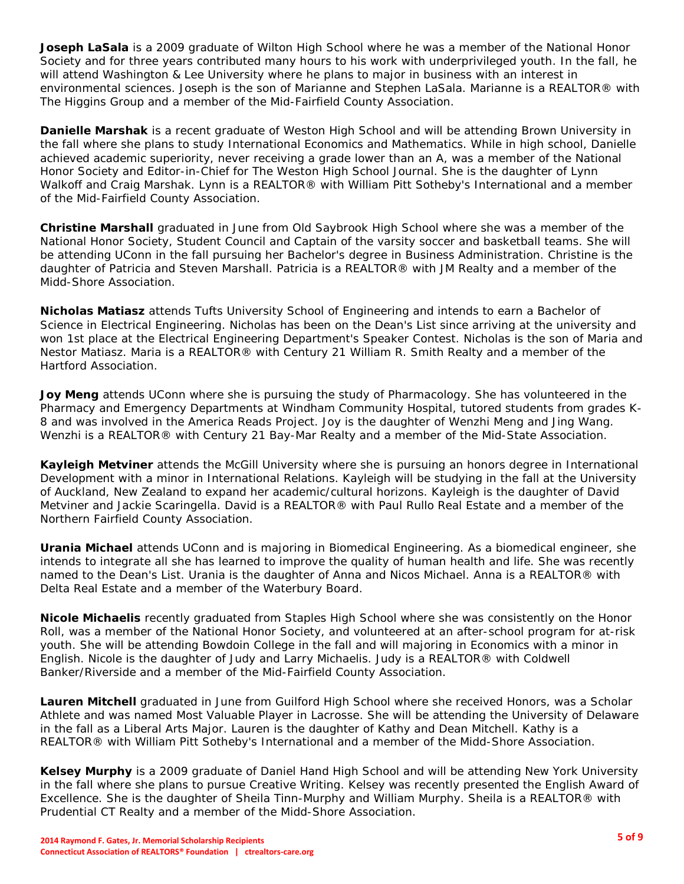**Joseph LaSala** is a 2009 graduate of Wilton High School where he was a member of the National Honor Society and for three years contributed many hours to his work with underprivileged youth. In the fall, he will attend Washington & Lee University where he plans to major in business with an interest in environmental sciences. Joseph is the son of Marianne and Stephen LaSala. Marianne is a REALTOR® with The Higgins Group and a member of the Mid-Fairfield County Association.

**Danielle Marshak** is a recent graduate of Weston High School and will be attending Brown University in the fall where she plans to study International Economics and Mathematics. While in high school, Danielle achieved academic superiority, never receiving a grade lower than an A, was a member of the National Honor Society and Editor-in-Chief for The Weston High School Journal. She is the daughter of Lynn Walkoff and Craig Marshak. Lynn is a REALTOR® with William Pitt Sotheby's International and a member of the Mid-Fairfield County Association.

**Christine Marshall** graduated in June from Old Saybrook High School where she was a member of the National Honor Society, Student Council and Captain of the varsity soccer and basketball teams. She will be attending UConn in the fall pursuing her Bachelor's degree in Business Administration. Christine is the daughter of Patricia and Steven Marshall. Patricia is a REALTOR® with JM Realty and a member of the Midd-Shore Association.

**Nicholas Matiasz** attends Tufts University School of Engineering and intends to earn a Bachelor of Science in Electrical Engineering. Nicholas has been on the Dean's List since arriving at the university and won 1st place at the Electrical Engineering Department's Speaker Contest. Nicholas is the son of Maria and Nestor Matiasz. Maria is a REALTOR® with Century 21 William R. Smith Realty and a member of the Hartford Association.

**Joy Meng** attends UConn where she is pursuing the study of Pharmacology. She has volunteered in the Pharmacy and Emergency Departments at Windham Community Hospital, tutored students from grades K-8 and was involved in the America Reads Project. Joy is the daughter of Wenzhi Meng and Jing Wang. Wenzhi is a REALTOR® with Century 21 Bay-Mar Realty and a member of the Mid-State Association.

**Kayleigh Metviner** attends the McGill University where she is pursuing an honors degree in International Development with a minor in International Relations. Kayleigh will be studying in the fall at the University of Auckland, New Zealand to expand her academic/cultural horizons. Kayleigh is the daughter of David Metviner and Jackie Scaringella. David is a REALTOR® with Paul Rullo Real Estate and a member of the Northern Fairfield County Association.

**Urania Michael** attends UConn and is majoring in Biomedical Engineering. As a biomedical engineer, she intends to integrate all she has learned to improve the quality of human health and life. She was recently named to the Dean's List. Urania is the daughter of Anna and Nicos Michael. Anna is a REALTOR® with Delta Real Estate and a member of the Waterbury Board.

**Nicole Michaelis** recently graduated from Staples High School where she was consistently on the Honor Roll, was a member of the National Honor Society, and volunteered at an after-school program for at-risk youth. She will be attending Bowdoin College in the fall and will majoring in Economics with a minor in English. Nicole is the daughter of Judy and Larry Michaelis. Judy is a REALTOR® with Coldwell Banker/Riverside and a member of the Mid-Fairfield County Association.

**Lauren Mitchell** graduated in June from Guilford High School where she received Honors, was a Scholar Athlete and was named Most Valuable Player in Lacrosse. She will be attending the University of Delaware in the fall as a Liberal Arts Major. Lauren is the daughter of Kathy and Dean Mitchell. Kathy is a REALTOR® with William Pitt Sotheby's International and a member of the Midd-Shore Association.

**Kelsey Murphy** is a 2009 graduate of Daniel Hand High School and will be attending New York University in the fall where she plans to pursue Creative Writing. Kelsey was recently presented the English Award of Excellence. She is the daughter of Sheila Tinn-Murphy and William Murphy. Sheila is a REALTOR® with Prudential CT Realty and a member of the Midd-Shore Association.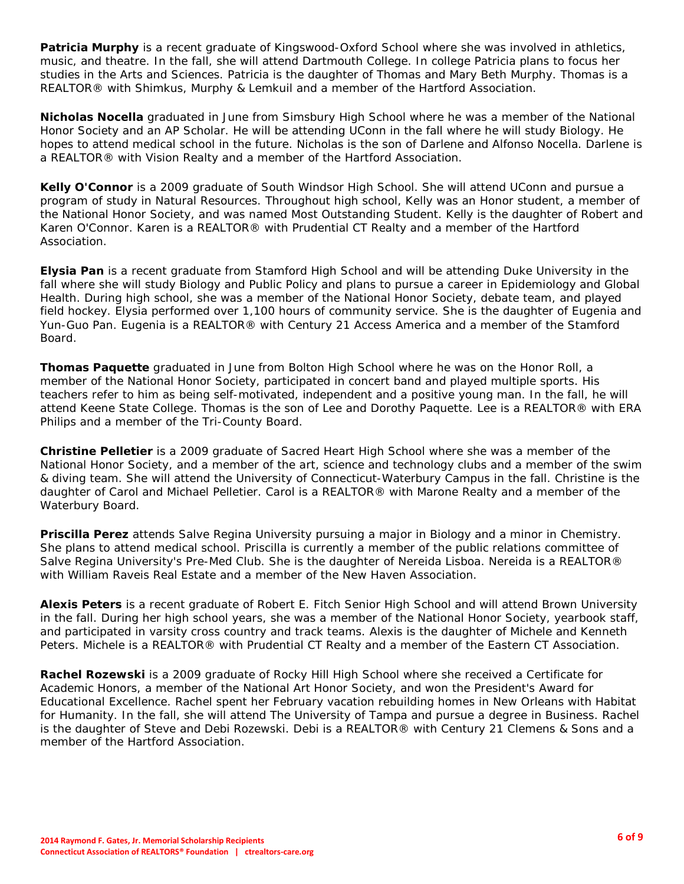**Patricia Murphy** is a recent graduate of Kingswood-Oxford School where she was involved in athletics, music, and theatre. In the fall, she will attend Dartmouth College. In college Patricia plans to focus her studies in the Arts and Sciences. Patricia is the daughter of Thomas and Mary Beth Murphy. Thomas is a REALTOR® with Shimkus, Murphy & Lemkuil and a member of the Hartford Association.

**Nicholas Nocella** graduated in June from Simsbury High School where he was a member of the National Honor Society and an AP Scholar. He will be attending UConn in the fall where he will study Biology. He hopes to attend medical school in the future. Nicholas is the son of Darlene and Alfonso Nocella. Darlene is a REALTOR® with Vision Realty and a member of the Hartford Association.

**Kelly O'Connor** is a 2009 graduate of South Windsor High School. She will attend UConn and pursue a program of study in Natural Resources. Throughout high school, Kelly was an Honor student, a member of the National Honor Society, and was named Most Outstanding Student. Kelly is the daughter of Robert and Karen O'Connor. Karen is a REALTOR® with Prudential CT Realty and a member of the Hartford Association.

**Elysia Pan** is a recent graduate from Stamford High School and will be attending Duke University in the fall where she will study Biology and Public Policy and plans to pursue a career in Epidemiology and Global Health. During high school, she was a member of the National Honor Society, debate team, and played field hockey. Elysia performed over 1,100 hours of community service. She is the daughter of Eugenia and Yun-Guo Pan. Eugenia is a REALTOR® with Century 21 Access America and a member of the Stamford Board.

**Thomas Paquette** graduated in June from Bolton High School where he was on the Honor Roll, a member of the National Honor Society, participated in concert band and played multiple sports. His teachers refer to him as being self-motivated, independent and a positive young man. In the fall, he will attend Keene State College. Thomas is the son of Lee and Dorothy Paquette. Lee is a REALTOR® with ERA Philips and a member of the Tri-County Board.

**Christine Pelletier** is a 2009 graduate of Sacred Heart High School where she was a member of the National Honor Society, and a member of the art, science and technology clubs and a member of the swim & diving team. She will attend the University of Connecticut-Waterbury Campus in the fall. Christine is the daughter of Carol and Michael Pelletier. Carol is a REALTOR® with Marone Realty and a member of the Waterbury Board.

**Priscilla Perez** attends Salve Regina University pursuing a major in Biology and a minor in Chemistry. She plans to attend medical school. Priscilla is currently a member of the public relations committee of Salve Regina University's Pre-Med Club. She is the daughter of Nereida Lisboa. Nereida is a REALTOR® with William Raveis Real Estate and a member of the New Haven Association.

**Alexis Peters** is a recent graduate of Robert E. Fitch Senior High School and will attend Brown University in the fall. During her high school years, she was a member of the National Honor Society, yearbook staff, and participated in varsity cross country and track teams. Alexis is the daughter of Michele and Kenneth Peters. Michele is a REALTOR® with Prudential CT Realty and a member of the Eastern CT Association.

**Rachel Rozewski** is a 2009 graduate of Rocky Hill High School where she received a Certificate for Academic Honors, a member of the National Art Honor Society, and won the President's Award for Educational Excellence. Rachel spent her February vacation rebuilding homes in New Orleans with Habitat for Humanity. In the fall, she will attend The University of Tampa and pursue a degree in Business. Rachel is the daughter of Steve and Debi Rozewski. Debi is a REALTOR® with Century 21 Clemens & Sons and a member of the Hartford Association.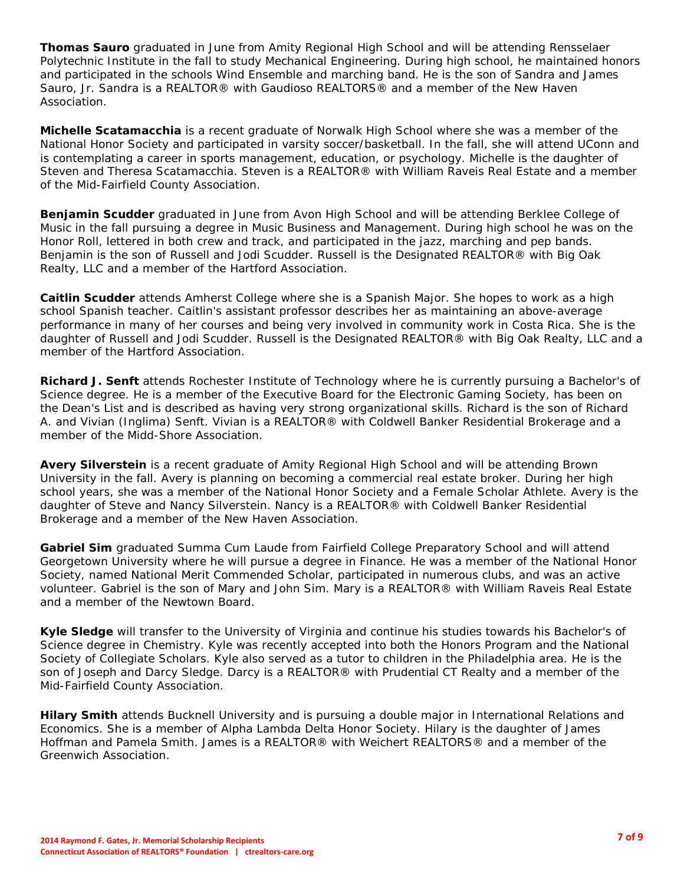**Thomas Sauro** graduated in June from Amity Regional High School and will be attending Rensselaer Polytechnic Institute in the fall to study Mechanical Engineering. During high school, he maintained honors and participated in the schools Wind Ensemble and marching band. He is the son of Sandra and James Sauro, Jr. Sandra is a REALTOR® with Gaudioso REALTORS® and a member of the New Haven Association.

**Michelle Scatamacchia** is a recent graduate of Norwalk High School where she was a member of the National Honor Society and participated in varsity soccer/basketball. In the fall, she will attend UConn and is contemplating a career in sports management, education, or psychology. Michelle is the daughter of Steven and Theresa Scatamacchia. Steven is a REALTOR® with William Raveis Real Estate and a member of the Mid-Fairfield County Association.

**Benjamin Scudder** graduated in June from Avon High School and will be attending Berklee College of Music in the fall pursuing a degree in Music Business and Management. During high school he was on the Honor Roll, lettered in both crew and track, and participated in the jazz, marching and pep bands. Benjamin is the son of Russell and Jodi Scudder. Russell is the Designated REALTOR® with Big Oak Realty, LLC and a member of the Hartford Association.

**Caitlin Scudder** attends Amherst College where she is a Spanish Major. She hopes to work as a high school Spanish teacher. Caitlin's assistant professor describes her as maintaining an above-average performance in many of her courses and being very involved in community work in Costa Rica. She is the daughter of Russell and Jodi Scudder. Russell is the Designated REALTOR® with Big Oak Realty, LLC and a member of the Hartford Association.

**Richard J. Senft** attends Rochester Institute of Technology where he is currently pursuing a Bachelor's of Science degree. He is a member of the Executive Board for the Electronic Gaming Society, has been on the Dean's List and is described as having very strong organizational skills. Richard is the son of Richard A. and Vivian (Inglima) Senft. Vivian is a REALTOR® with Coldwell Banker Residential Brokerage and a member of the Midd-Shore Association.

**Avery Silverstein** is a recent graduate of Amity Regional High School and will be attending Brown University in the fall. Avery is planning on becoming a commercial real estate broker. During her high school years, she was a member of the National Honor Society and a Female Scholar Athlete. Avery is the daughter of Steve and Nancy Silverstein. Nancy is a REALTOR® with Coldwell Banker Residential Brokerage and a member of the New Haven Association.

**Gabriel Sim** graduated Summa Cum Laude from Fairfield College Preparatory School and will attend Georgetown University where he will pursue a degree in Finance. He was a member of the National Honor Society, named National Merit Commended Scholar, participated in numerous clubs, and was an active volunteer. Gabriel is the son of Mary and John Sim. Mary is a REALTOR® with William Raveis Real Estate and a member of the Newtown Board.

**Kyle Sledge** will transfer to the University of Virginia and continue his studies towards his Bachelor's of Science degree in Chemistry. Kyle was recently accepted into both the Honors Program and the National Society of Collegiate Scholars. Kyle also served as a tutor to children in the Philadelphia area. He is the son of Joseph and Darcy Sledge. Darcy is a REALTOR® with Prudential CT Realty and a member of the Mid-Fairfield County Association.

**Hilary Smith** attends Bucknell University and is pursuing a double major in International Relations and Economics. She is a member of Alpha Lambda Delta Honor Society. Hilary is the daughter of James Hoffman and Pamela Smith. James is a REALTOR® with Weichert REALTORS® and a member of the Greenwich Association.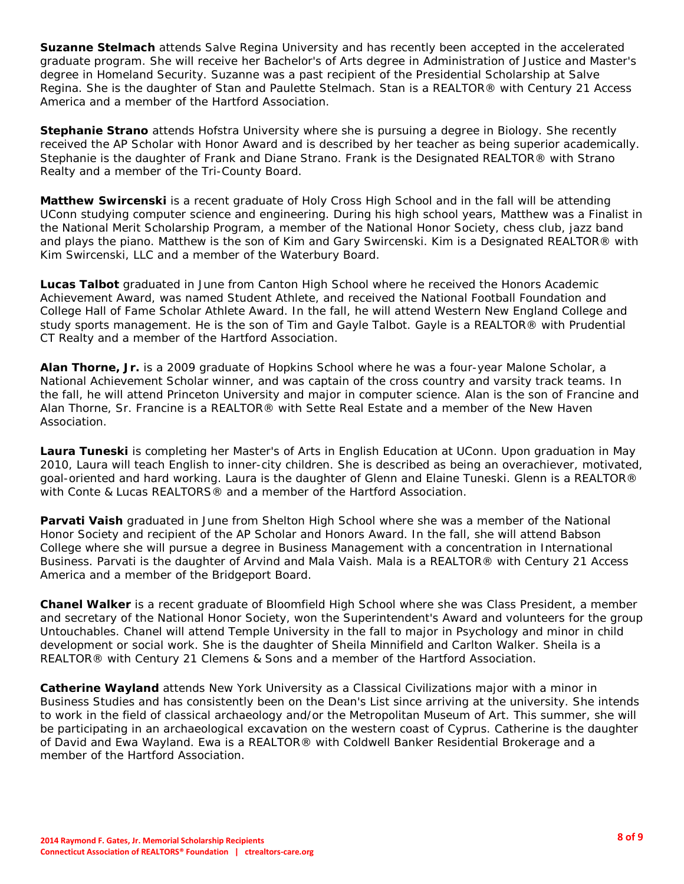**Suzanne Stelmach** attends Salve Regina University and has recently been accepted in the accelerated graduate program. She will receive her Bachelor's of Arts degree in Administration of Justice and Master's degree in Homeland Security. Suzanne was a past recipient of the Presidential Scholarship at Salve Regina. She is the daughter of Stan and Paulette Stelmach. Stan is a REALTOR® with Century 21 Access America and a member of the Hartford Association.

**Stephanie Strano** attends Hofstra University where she is pursuing a degree in Biology. She recently received the AP Scholar with Honor Award and is described by her teacher as being superior academically. Stephanie is the daughter of Frank and Diane Strano. Frank is the Designated REALTOR® with Strano Realty and a member of the Tri-County Board.

**Matthew Swircenski** is a recent graduate of Holy Cross High School and in the fall will be attending UConn studying computer science and engineering. During his high school years, Matthew was a Finalist in the National Merit Scholarship Program, a member of the National Honor Society, chess club, jazz band and plays the piano. Matthew is the son of Kim and Gary Swircenski. Kim is a Designated REALTOR® with Kim Swircenski, LLC and a member of the Waterbury Board.

**Lucas Talbot** graduated in June from Canton High School where he received the Honors Academic Achievement Award, was named Student Athlete, and received the National Football Foundation and College Hall of Fame Scholar Athlete Award. In the fall, he will attend Western New England College and study sports management. He is the son of Tim and Gayle Talbot. Gayle is a REALTOR® with Prudential CT Realty and a member of the Hartford Association.

**Alan Thorne, Jr.** is a 2009 graduate of Hopkins School where he was a four-year Malone Scholar, a National Achievement Scholar winner, and was captain of the cross country and varsity track teams. In the fall, he will attend Princeton University and major in computer science. Alan is the son of Francine and Alan Thorne, Sr. Francine is a REALTOR® with Sette Real Estate and a member of the New Haven Association.

**Laura Tuneski** is completing her Master's of Arts in English Education at UConn. Upon graduation in May 2010, Laura will teach English to inner-city children. She is described as being an overachiever, motivated, goal-oriented and hard working. Laura is the daughter of Glenn and Elaine Tuneski. Glenn is a REALTOR® with Conte & Lucas REALTORS® and a member of the Hartford Association.

**Parvati Vaish** graduated in June from Shelton High School where she was a member of the National Honor Society and recipient of the AP Scholar and Honors Award. In the fall, she will attend Babson College where she will pursue a degree in Business Management with a concentration in International Business. Parvati is the daughter of Arvind and Mala Vaish. Mala is a REALTOR® with Century 21 Access America and a member of the Bridgeport Board.

**Chanel Walker** is a recent graduate of Bloomfield High School where she was Class President, a member and secretary of the National Honor Society, won the Superintendent's Award and volunteers for the group Untouchables. Chanel will attend Temple University in the fall to major in Psychology and minor in child development or social work. She is the daughter of Sheila Minnifield and Carlton Walker. Sheila is a REALTOR® with Century 21 Clemens & Sons and a member of the Hartford Association.

**Catherine Wayland** attends New York University as a Classical Civilizations major with a minor in Business Studies and has consistently been on the Dean's List since arriving at the university. She intends to work in the field of classical archaeology and/or the Metropolitan Museum of Art. This summer, she will be participating in an archaeological excavation on the western coast of Cyprus. Catherine is the daughter of David and Ewa Wayland. Ewa is a REALTOR® with Coldwell Banker Residential Brokerage and a member of the Hartford Association.